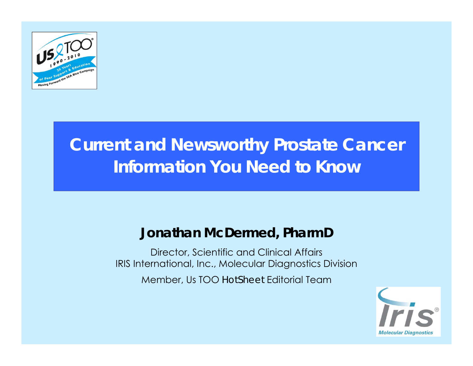

## **Current and Newsworthy Prostate Cancer Information You Need to Know**

#### **Jonathan McDermed, PharmD**

Director, Scientific and Clinical Affairs IRIS International, Inc., Molecular Diagnostics Division Member, Us TOO *HotSheet* Editorial Team

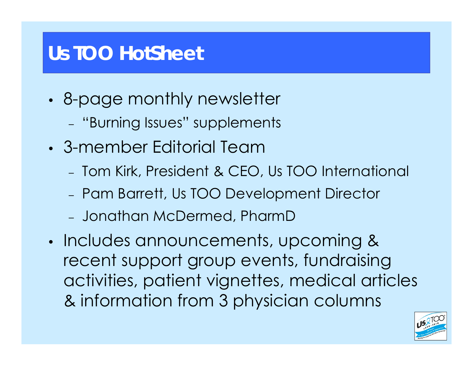## **Us TOO** *HotSheet*

- • 8-page monthly newsletter
	- –- "Burning Issues" supplements
- 3-member Editorial Team
	- Tom Kirk, President & CEO, Us TOO International
	- –Pam Barrett, Us TOO Development Director
	- Jonathan McDermed, PharmD
- •• Includes announcements, upcoming & recent support group events, fundraising activities, patient vignettes, medical articles & information from 3 physician columns

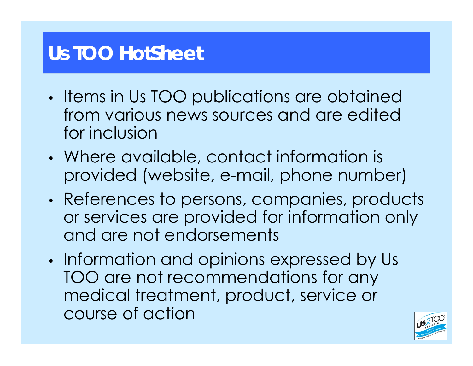## **Us TOO** *HotSheet*

- •• Items in Us TOO publications are obtained from various news sources and are edited for inclusion
- Where available, contact information is provided (website, e-mail, phone number)
- •• References to persons, companies, products or services are provided for information only and are not endorsements
- •• Information and opinions expressed by Us TOO are not recommendations for any medical treatment, product, service or course of action

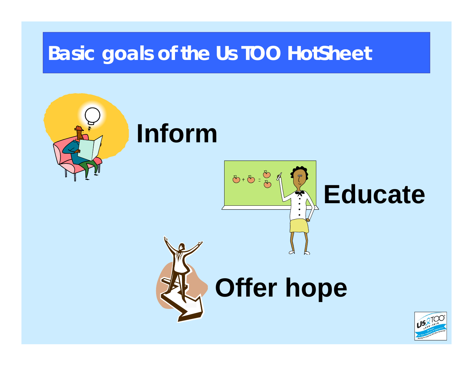#### **Basic goals of the Us TOO HotSheet**

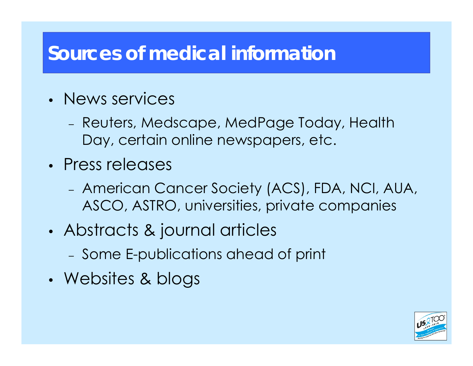## **Sources of medical information**

- News services
	- – Reuters, Medscape, MedPage Today, Health Day, certain online newspapers, etc.
- Press releases
	- American Cancer Society (ACS), FDA, NCI, AUA, ASCO, ASTRO, universities, private companies
- • Abstracts & journal articles
	- Some E -publications ahead of print
- •Websites & blogs

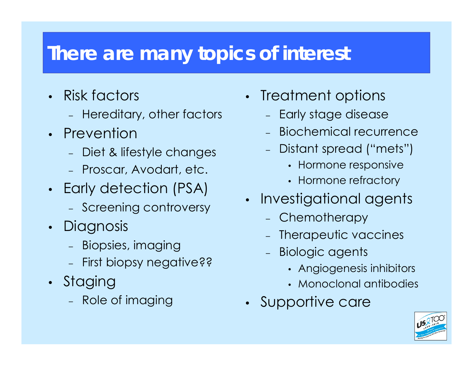## **There are many topics of interest**

- Risk factors
	- Hereditary, other factors Early stage disease
- Prevention
	- Diet & lifestyle changes
	- Proscar, Avodart, etc.
- •• Early detection (PSA)
	- Screening controversy
- •• Diagnosis
	- Biopsies, imaging
	- First biopsy negative??
- •• Staging
	- Role of imaging  **Role of a struck Struck**
- •• Treatment options
	- –
	- Biochemical recurrence
	- Distant spread ("mets")
		- Hormone responsive
		- Hormone refractory
- •• Investigational agents
	- Chemotherapy
	- Therapeutic vaccines
	- Biologic agents
		- Angiogenesis inhibitors
		- Monoclonal antibodies
- Supportive care

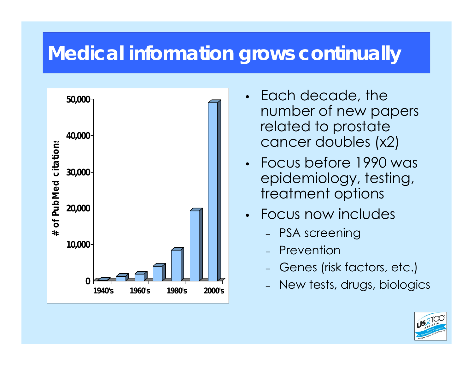## **Medical information grows continually**



- • Each decade, the number of new papers related to prostate cancer doubles (x2)
- Focus before 1990 was epidemiology, testing, treatment options
- Focus now includes
	- PSA screening
	-
	- Genes (risk factors, etc.)
	- New tests, drugs, biologics

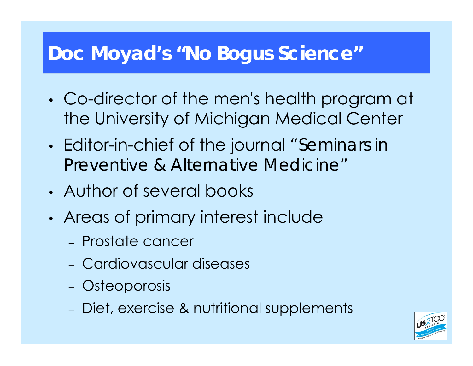## **Doc Moyad's "No Bogus Science"**

- • Co-director of the men's health program at the University of Michigan Medical Center
- • Editor-in-chief of the journal *"Seminars in Alternative Medicine*
- Author of several books
- • Areas of primary interest include
	- Prostate cancer
	- Cardiovascular diseases
	- –Osteoporosis
	- –Diet, exercise & nutritional supplements

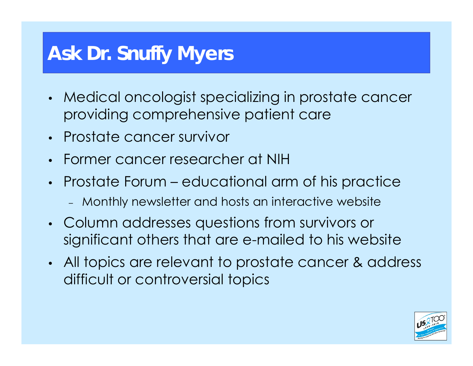## **Ask Dr. Snuffy Myers**

- • Medical oncologist specializing in prostate cancer providing comprehensive patient care
- Prostate cancer survivor
- Former cancer researcher at NIH
- • Prostate Forum – educational arm of his practice
	- Monthly newsletter and hosts an interactive website
- • Column addresses questions from survivors or significant others that are e-mailed to his website
- • All topics are relevant to prostate cancer & address difficult or controversial topics

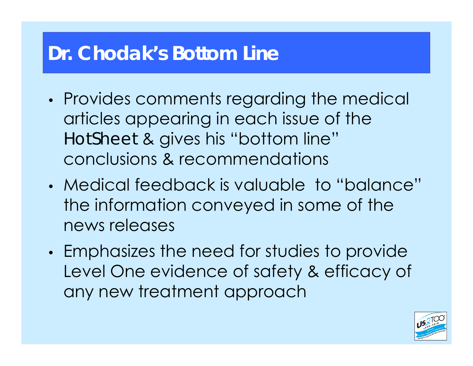### **Dr. Chodak's Bottom Line**

- • Provides comments regarding the medical articles appearing in each issue of the *HotSheet* & gives his "bottom line" conclusions & recommendations
- Medical feedback is valuable to "balance" the information conveyed in some of the news releases
- • Emphasizes the need for studies to provide Level One evidence of safety & efficacy of any new treatment approach

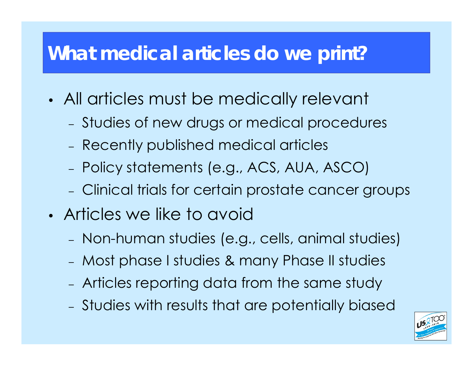## **What medical articles do we print?**

- • All articles must be medically relevant
	- –Studies of new drugs or medical procedures
	- –Recently published medical articles
	- –Policy statements (e.g., ACS, AUA, ASCO)
	- –Clinical trials for certain prostate cancer groups
- Articles we like to avoid
	- –Non-human studies (e.g., cells, animal studies)
	- –Most phase I studies & many Phase II studies
	- –Articles reporting data from the same study
	- –Studies with results that are potentially biased

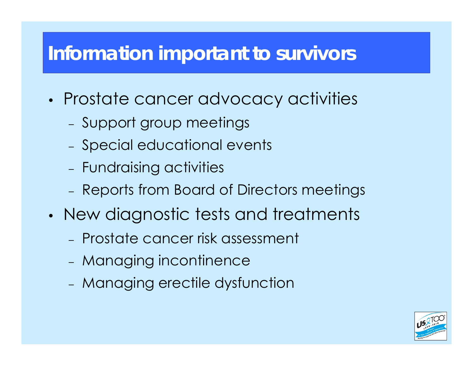### **Information important to survivors**

- • Prostate cancer advocacy activities
	- –- Support group meetings
	- –- Special educational events
	- –Fundraising activities
	- –Reports from Board of Directors meetings
- •• New diagnostic tests and treatments
	- Prostate cancer risk assessment
	- –Managing incontinence
	- –Managing erectile dysfunction

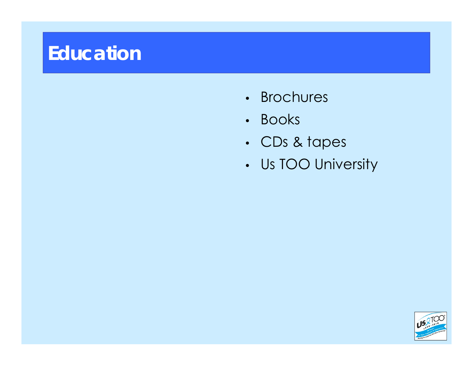## **Education**

- Brochures
- Books
- •CDs & tapes
- •• Us TOO University

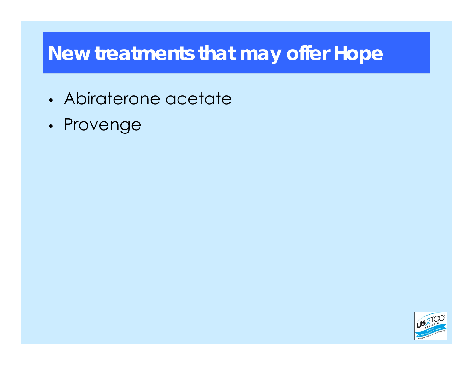## **New treatments that may offer Hope**

- Abiraterone acetate
- •Provenge

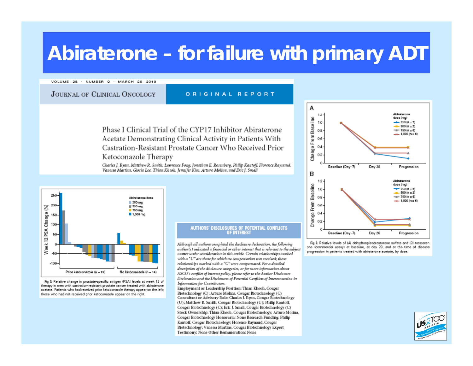#### Abiraterone - for failure with primary ADT

VOLUME 28 · NUMBER 9 · MARCH 20 2010

**JOURNAL OF CLINICAL ONCOLOGY** 

ORIGINAL REPORT

Phase I Clinical Trial of the CYP17 Inhibitor Abiraterone Acetate Demonstrating Clinical Activity in Patients With Castration-Resistant Prostate Cancer Who Received Prior Ketoconazole Therapy

Charles J. Ryan, Matthew R. Smith, Lawrence Fong, Jonathan E. Rosenberg, Philip Kantoff, Florence Raynaud, Vanessa Martins, Gloria Lee, Thian Kheoh, Jennifer Kim, Arturo Molina, and Eric J. Small



Fig 3. Relative change in prostate-specific antigen (PSA) levels at week 12 of therapy in men with castration-resistant prostate cancer treated with abiraterone acetate. Patients who had received prior ketoconazole therapy appear on the left; those who had not received prior ketoconazole appear on the right.

#### **AUTHORS' DISCLOSURES OF POTENTIAL CONFLICTS OF INTEREST**

Although all authors completed the disclosure declaration, the following author(s) indicated a financial or other interest that is relevant to the subject matter under consideration in this article. Certain relationships marked with a "U" are those for which no compensation was received; those relationships marked with a "C" were compensated. For a detailed description of the disclosure categories, or for more information about ASCO's conflict of interest policy, please refer to the Author Disclosure Declaration and the Disclosures of Potential Conflicts of Interest section in Information for Contributors.

Employment or Leadership Position: Thian Kheoh, Cougar Biotechnology (C); Arturo Molina, Cougar Biotechnology (C) Consultant or Advisory Role: Charles J. Ryan, Cougar Biotechnology (U); Matthew R. Smith, Cougar Biotechnology (U); Philip Kantoff, Cougar Biotechnology (C); Eric J. Small, Cougar Biotechnology (C) Stock Ownership: Thian Kheoh, Cougar Biotechnology; Arturo Molina, Cougar Biotechnology Honoraria: None Research Funding: Philip Kantoff, Cougar Biotechnology; Horence Raynaud, Cougar Biotechnology; Vanessa Martins, Cougar Biotechnology Expert Testimony: None Other Remuneration: None



Fig 2. Relative levels of (A) dehydroepiandrosterone sulfate and (B) testosterone (commercial assay) at baseline, at day 28, and at the time of disease progression in patients treated with abiraterone acetate, by dose.

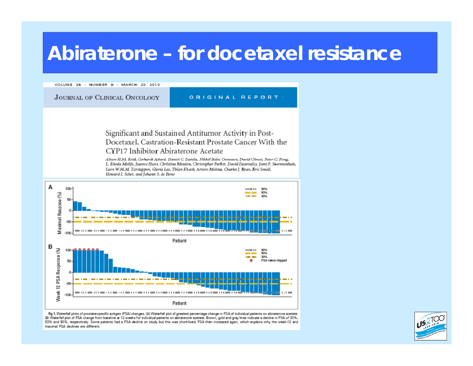#### Abiraterone - for docetaxel resistance

VOLUME 28 - NUMBER 9 - MARCH 20 2010

**JOURNAL OF CLINICAL ONCOLOGY** 

ORIGINAL REPORT

#### Significant and Sustained Antitumor Activity in Post-Docetaxel, Castration-Resistant Prostate Cancer With the CYP17 Inhibitor Abiraterone Acetate

Alison H.M. Reid, Gerhardt Attard, Daniel C. Danila, Nikhil Babu Oommen, David Olmos, Peter C. Fong, L. Rhoda Molife, Joanne Hunt, Christina Messiou, Christopher Parker, David Dearnaley, Joost F. Swennenhuis, Leon W.M.M. Terstappen, Gloria Lee, Thian Kheoh, Arturo Molina, Charles J. Ryan, Eric Small, Howard I. Scher, and Johann S. de Bono



Fig 1. Waterfall plots of prostate-specific antigen (PSA) changes. (A) Waterfall plot of greatest percentage change in PSA of individual patients on abiraterone acetate. (B) Waterfall plot of PSA change from baseline at 12 weeks for individual patients on abiraterone acetate. Brown, gold and gray lines indicate a decline in PSA of 30%, 50% and 90%, respectively. Some patients had a PSA decline on study but this was short-lived; PSA then increased again, which explains why the week-12 and maximal PSA declines are different.

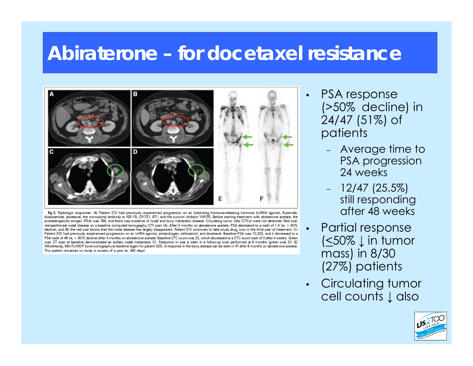#### **Abiraterone – for docetaxel resistance**



Fig 2. Radiologic responses. (A) Patient 010 had previously experienced progression on an luteinizing hormone-releasing hormone (LHRH) agonist, flutamide, bicalutamide, docetaxel, the monoclonal antibody to IGF-1R, CP-761, 971, and the survivin inhibitor YM155. Before starting treatment with abiraterone acetate, the prostate-specific antigen IPSA) was 789, and there was evidence of nodal and bony metastatic disease. Circulating tumor cells (CTCs) were not detected. Red oval, retroperitoneal nodal disease on a baseline computed tomography (CT) scan (A). After 3 months on abiraterone acetate, PSA decreased to a nadir of 1.4 (ie, > 90% decline), and (B) the red oval shows that the nodal disease has largely disappeared. Patient 010 continues to take study drug, now in the third year of treatment. (C) Patient 025 had previously experienced progression on an LHRH agonist, antiandrogen, stilboestrol, and docetaxel. Baseline PSA was 10,325, and it decreased to a PSA nadir of 46 (ie, > 90% decline) after 4 months on abiraterone acetate. Baseline CTC count was 20, which decreased to a CTC count nadir of 0 after 4 weeks. Green oval, CT scan at baseline demonstrated an axillary nodal metastasis (C). Reduction in size is seen in a follow-up scan performed at 6 months (green oval; D). (E) Whole-body, 99mTo-MDP bone scintigraphy at baseline (again for patient 025). A response in the bony disease can be seen in (F) after 6 months on abiraterone acetate. This patient remained on study in excess of a year (ie, 482 days)

 PSA response (>50% decline) in 24/47 (51%) of patients

•

•

- – Average time to PSA progression 24 weeks
- 12/47 (25.5%) still responding after 48 weeks
- Partial response (<50% ↓ in tumor mass) in 8/30 (27%) patients
- • Circulating tumor cell counts ↓ also

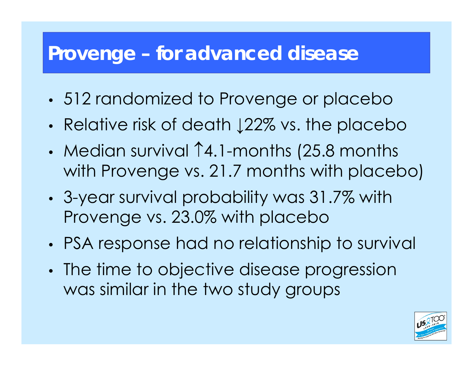### **Provenge – for advanced disease**

- •512 randomized to Provenge or placebo
- Relative risk of death  $\downarrow$  22% vs. the placebo
- Median survival 14.1-months (25.8 months with Provenge vs. 21.7 months with placebo)
- 3-year survival probability was 31.7% with Provenge vs. 23.0% with placebo
- PSA response had no relationship to survival
- •• The time to objective disease progression was similar in the two study groups

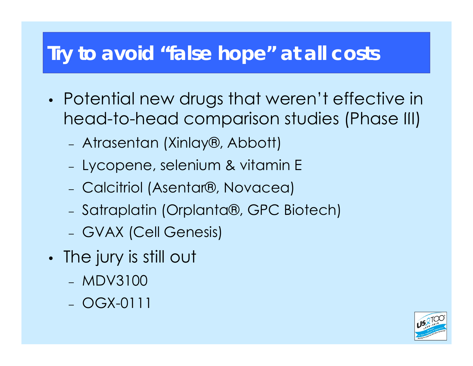### Try to avoid "false hope" at all costs

- Potential new drugs that weren't effective in head-to-head comparison studies (Phase III)
	- Atrasentan (Xinlay®, Abbott)
	- Lycopene, selenium & vitamin E
	- Calcitriol (Asentar®, Novacea)
	- Satraplatin (Orplanta®, GPC Biotech)
	- GVAX (Cell Genesis)
- The jury is still out
	- $-MDV3100$
	- $-$  OGX-0111